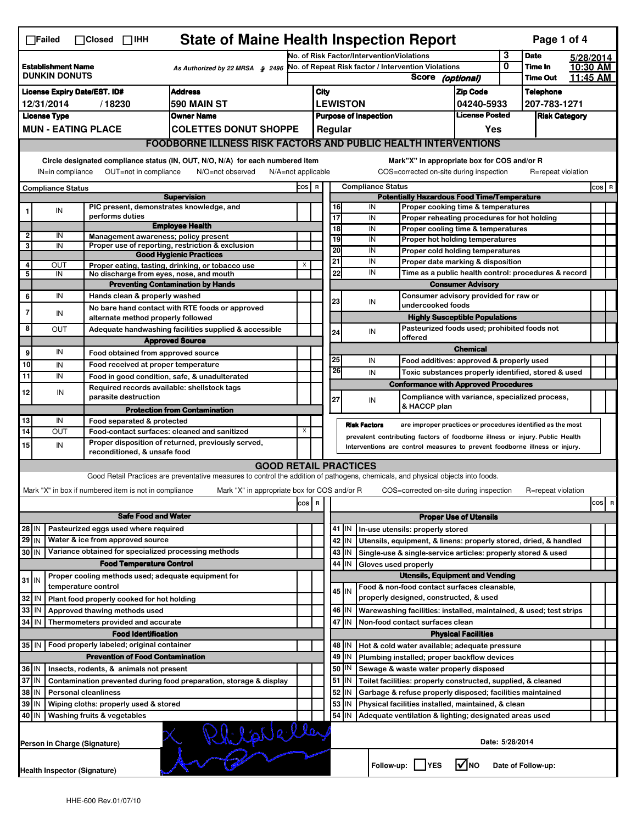| <b>State of Maine Health Inspection Report</b><br>Page 1 of 4<br>$\Box$ Failed<br>$\Box$ Closed $\Box$ IHH   |                                                                                                                                                                       |  |                                                                                                                                                                  |                                                                                                                                   |                                                                |                                                     |                                                                                  |                                           |                                                                                                                                  |                                                                              |                               |                      |                    |          |           |
|--------------------------------------------------------------------------------------------------------------|-----------------------------------------------------------------------------------------------------------------------------------------------------------------------|--|------------------------------------------------------------------------------------------------------------------------------------------------------------------|-----------------------------------------------------------------------------------------------------------------------------------|----------------------------------------------------------------|-----------------------------------------------------|----------------------------------------------------------------------------------|-------------------------------------------|----------------------------------------------------------------------------------------------------------------------------------|------------------------------------------------------------------------------|-------------------------------|----------------------|--------------------|----------|-----------|
|                                                                                                              |                                                                                                                                                                       |  |                                                                                                                                                                  |                                                                                                                                   |                                                                |                                                     |                                                                                  | No. of Risk Factor/InterventionViolations |                                                                                                                                  |                                                                              |                               | 3                    | <b>Date</b>        |          | 5/28/2014 |
| <b>Establishment Name</b><br>As Authorized by 22 MRSA § 2496                                                 |                                                                                                                                                                       |  |                                                                                                                                                                  |                                                                                                                                   |                                                                | No. of Repeat Risk factor / Intervention Violations |                                                                                  |                                           |                                                                                                                                  | 0                                                                            | Time In                       |                      | 10:30 AM           |          |           |
| <b>DUNKIN DONUTS</b>                                                                                         |                                                                                                                                                                       |  |                                                                                                                                                                  |                                                                                                                                   |                                                                |                                                     | <b>Score</b><br>(optional)                                                       |                                           |                                                                                                                                  |                                                                              |                               | <b>Time Out</b>      |                    | 11:45 AM |           |
| <b>Address</b><br><b>License Expiry Date/EST. ID#</b>                                                        |                                                                                                                                                                       |  |                                                                                                                                                                  |                                                                                                                                   |                                                                | <b>City</b>                                         |                                                                                  |                                           |                                                                                                                                  |                                                                              | <b>Zip Code</b>               |                      | <b>Telephone</b>   |          |           |
| /18230<br>590 MAIN ST<br>12/31/2014                                                                          |                                                                                                                                                                       |  |                                                                                                                                                                  |                                                                                                                                   |                                                                |                                                     |                                                                                  | <b>LEWISTON</b>                           |                                                                                                                                  |                                                                              | 04240-5933                    |                      | 207-783-1271       |          |           |
| <b>License Type</b><br><b>Owner Name</b>                                                                     |                                                                                                                                                                       |  |                                                                                                                                                                  |                                                                                                                                   |                                                                | <b>Purpose of Inspection</b>                        |                                                                                  |                                           |                                                                                                                                  | <b>License Posted</b>                                                        |                               | <b>Risk Category</b> |                    |          |           |
|                                                                                                              | <b>MUN - EATING PLACE</b><br><b>COLETTES DONUT SHOPPE</b>                                                                                                             |  |                                                                                                                                                                  |                                                                                                                                   |                                                                |                                                     | Regular                                                                          |                                           |                                                                                                                                  |                                                                              | Yes                           |                      |                    |          |           |
|                                                                                                              |                                                                                                                                                                       |  |                                                                                                                                                                  | <b>FOODBORNE ILLNESS RISK FACTORS AND PUBLIC HEALTH INTERVENTIONS</b>                                                             |                                                                |                                                     |                                                                                  |                                           |                                                                                                                                  |                                                                              |                               |                      |                    |          |           |
|                                                                                                              |                                                                                                                                                                       |  |                                                                                                                                                                  |                                                                                                                                   |                                                                |                                                     |                                                                                  |                                           |                                                                                                                                  | Mark"X" in appropriate box for COS and/or R                                  |                               |                      |                    |          |           |
|                                                                                                              | Circle designated compliance status (IN, OUT, N/O, N/A) for each numbered item<br>OUT=not in compliance<br>N/O=not observed<br>N/A=not applicable<br>IN=in compliance |  |                                                                                                                                                                  |                                                                                                                                   |                                                                |                                                     |                                                                                  |                                           |                                                                                                                                  | COS=corrected on-site during inspection                                      |                               |                      | R=repeat violation |          |           |
|                                                                                                              | Compliance Status                                                                                                                                                     |  |                                                                                                                                                                  |                                                                                                                                   | COS R                                                          |                                                     |                                                                                  |                                           | <b>Compliance Status</b>                                                                                                         |                                                                              |                               |                      |                    |          | $cos$ R   |
|                                                                                                              |                                                                                                                                                                       |  |                                                                                                                                                                  | <b>Supervision</b>                                                                                                                |                                                                | <b>Potentially Hazardous Food Time/Temperature</b>  |                                                                                  |                                           |                                                                                                                                  |                                                                              |                               |                      |                    |          |           |
| 1                                                                                                            | IN                                                                                                                                                                    |  | PIC present, demonstrates knowledge, and                                                                                                                         |                                                                                                                                   |                                                                |                                                     | 16                                                                               |                                           | IN                                                                                                                               | Proper cooking time & temperatures                                           |                               |                      |                    |          |           |
|                                                                                                              |                                                                                                                                                                       |  | performs duties                                                                                                                                                  | <b>Employee Health</b>                                                                                                            |                                                                |                                                     | 17                                                                               |                                           | IN                                                                                                                               | Proper reheating procedures for hot holding                                  |                               |                      |                    |          |           |
| 2                                                                                                            | IN                                                                                                                                                                    |  | Management awareness: policy present                                                                                                                             |                                                                                                                                   |                                                                |                                                     | 18<br>19                                                                         |                                           | IN<br>IN                                                                                                                         | Proper cooling time & temperatures                                           |                               |                      |                    |          |           |
| 3                                                                                                            | IN                                                                                                                                                                    |  |                                                                                                                                                                  | Proper use of reporting, restriction & exclusion                                                                                  |                                                                |                                                     | 20                                                                               |                                           | IN                                                                                                                               | Proper hot holding temperatures                                              |                               |                      |                    |          |           |
|                                                                                                              |                                                                                                                                                                       |  |                                                                                                                                                                  | <b>Good Hygienic Practices</b>                                                                                                    |                                                                |                                                     | 21                                                                               |                                           | IN                                                                                                                               | Proper cold holding temperatures<br>Proper date marking & disposition        |                               |                      |                    |          |           |
| 4<br>5                                                                                                       | OUT<br>IN                                                                                                                                                             |  | No discharge from eyes, nose, and mouth                                                                                                                          | Proper eating, tasting, drinking, or tobacco use                                                                                  | X                                                              |                                                     | 22                                                                               |                                           | IN                                                                                                                               |                                                                              |                               |                      |                    |          |           |
|                                                                                                              |                                                                                                                                                                       |  |                                                                                                                                                                  | <b>Preventing Contamination by Hands</b>                                                                                          |                                                                |                                                     | Time as a public health control: procedures & record<br><b>Consumer Advisory</b> |                                           |                                                                                                                                  |                                                                              |                               |                      |                    |          |           |
| 6                                                                                                            | IN                                                                                                                                                                    |  | Hands clean & properly washed                                                                                                                                    |                                                                                                                                   |                                                                |                                                     | Consumer advisory provided for raw or                                            |                                           |                                                                                                                                  |                                                                              |                               |                      |                    |          |           |
|                                                                                                              |                                                                                                                                                                       |  |                                                                                                                                                                  | No bare hand contact with RTE foods or approved                                                                                   |                                                                |                                                     | 23                                                                               |                                           | IN                                                                                                                               | undercooked foods                                                            |                               |                      |                    |          |           |
| 7                                                                                                            | IN                                                                                                                                                                    |  | alternate method properly followed                                                                                                                               |                                                                                                                                   |                                                                |                                                     |                                                                                  |                                           |                                                                                                                                  | <b>Highly Susceptible Populations</b>                                        |                               |                      |                    |          |           |
| 8                                                                                                            | <b>OUT</b>                                                                                                                                                            |  |                                                                                                                                                                  | Adequate handwashing facilities supplied & accessible                                                                             |                                                                |                                                     | 24                                                                               |                                           | IN                                                                                                                               | Pasteurized foods used; prohibited foods not                                 |                               |                      |                    |          |           |
|                                                                                                              |                                                                                                                                                                       |  |                                                                                                                                                                  | <b>Approved Source</b>                                                                                                            |                                                                |                                                     |                                                                                  |                                           |                                                                                                                                  | offered                                                                      |                               |                      |                    |          |           |
| $\mathbf{9}$                                                                                                 | IN                                                                                                                                                                    |  | Food obtained from approved source                                                                                                                               |                                                                                                                                   |                                                                |                                                     |                                                                                  |                                           |                                                                                                                                  |                                                                              | <b>Chemical</b>               |                      |                    |          |           |
| 10                                                                                                           | IN                                                                                                                                                                    |  | Food received at proper temperature                                                                                                                              |                                                                                                                                   |                                                                |                                                     | 25                                                                               |                                           | IN                                                                                                                               | Food additives: approved & properly used                                     |                               |                      |                    |          |           |
| 11                                                                                                           | IN                                                                                                                                                                    |  |                                                                                                                                                                  | Food in good condition, safe, & unadulterated                                                                                     |                                                                |                                                     | 26                                                                               |                                           | IN                                                                                                                               | Toxic substances properly identified, stored & used                          |                               |                      |                    |          |           |
| 12                                                                                                           | IN                                                                                                                                                                    |  | Required records available: shellstock tags                                                                                                                      |                                                                                                                                   |                                                                |                                                     |                                                                                  |                                           |                                                                                                                                  | <b>Conformance with Approved Procedures</b>                                  |                               |                      |                    |          |           |
|                                                                                                              |                                                                                                                                                                       |  | parasite destruction                                                                                                                                             |                                                                                                                                   |                                                                |                                                     | 27                                                                               |                                           | IN                                                                                                                               | Compliance with variance, specialized process,<br>& HACCP plan               |                               |                      |                    |          |           |
|                                                                                                              |                                                                                                                                                                       |  |                                                                                                                                                                  | <b>Protection from Contamination</b>                                                                                              |                                                                |                                                     |                                                                                  |                                           |                                                                                                                                  |                                                                              |                               |                      |                    |          |           |
| 13                                                                                                           | IN                                                                                                                                                                    |  | Food separated & protected                                                                                                                                       |                                                                                                                                   | X                                                              |                                                     |                                                                                  |                                           | <b>Risk Factors</b>                                                                                                              | are improper practices or procedures identified as the most                  |                               |                      |                    |          |           |
| 14                                                                                                           | OUT                                                                                                                                                                   |  |                                                                                                                                                                  | Food-contact surfaces: cleaned and sanitized                                                                                      |                                                                |                                                     |                                                                                  |                                           |                                                                                                                                  | prevalent contributing factors of foodborne illness or injury. Public Health |                               |                      |                    |          |           |
| 15                                                                                                           | IN                                                                                                                                                                    |  | Proper disposition of returned, previously served,<br>Interventions are control measures to prevent foodborne illness or injury.<br>reconditioned, & unsafe food |                                                                                                                                   |                                                                |                                                     |                                                                                  |                                           |                                                                                                                                  |                                                                              |                               |                      |                    |          |           |
|                                                                                                              |                                                                                                                                                                       |  |                                                                                                                                                                  | <b>GOOD RETAIL PRACTICES</b>                                                                                                      |                                                                |                                                     |                                                                                  |                                           |                                                                                                                                  |                                                                              |                               |                      |                    |          |           |
|                                                                                                              |                                                                                                                                                                       |  |                                                                                                                                                                  | Good Retail Practices are preventative measures to control the addition of pathogens, chemicals, and physical objects into foods. |                                                                |                                                     |                                                                                  |                                           |                                                                                                                                  |                                                                              |                               |                      |                    |          |           |
|                                                                                                              |                                                                                                                                                                       |  | Mark "X" in box if numbered item is not in compliance                                                                                                            | Mark "X" in appropriate box for COS and/or R                                                                                      |                                                                |                                                     |                                                                                  |                                           |                                                                                                                                  | COS=corrected on-site during inspection                                      |                               |                      | R=repeat violation |          |           |
|                                                                                                              |                                                                                                                                                                       |  |                                                                                                                                                                  |                                                                                                                                   | $\cos   R$                                                     |                                                     |                                                                                  |                                           |                                                                                                                                  |                                                                              |                               |                      |                    |          | cosl<br>R |
|                                                                                                              |                                                                                                                                                                       |  | <b>Safe Food and Water</b>                                                                                                                                       |                                                                                                                                   |                                                                |                                                     |                                                                                  |                                           |                                                                                                                                  |                                                                              | <b>Proper Use of Utensils</b> |                      |                    |          |           |
|                                                                                                              |                                                                                                                                                                       |  |                                                                                                                                                                  |                                                                                                                                   |                                                                |                                                     |                                                                                  |                                           |                                                                                                                                  |                                                                              |                               |                      |                    |          |           |
| 28 IN                                                                                                        |                                                                                                                                                                       |  | Pasteurized eggs used where required                                                                                                                             |                                                                                                                                   |                                                                |                                                     | 42                                                                               | 41   IN<br>IN                             |                                                                                                                                  | In-use utensils: properly stored                                             |                               |                      |                    |          |           |
| 29 I IN<br>Water & ice from approved source<br>Variance obtained for specialized processing methods<br>30 IN |                                                                                                                                                                       |  |                                                                                                                                                                  |                                                                                                                                   |                                                                | 43                                                  | IN                                                                               |                                           | Utensils, equipment, & linens: properly stored, dried, & handled<br>Single-use & single-service articles: properly stored & used |                                                                              |                               |                      |                    |          |           |
|                                                                                                              |                                                                                                                                                                       |  | <b>Food Temperature Control</b>                                                                                                                                  |                                                                                                                                   |                                                                |                                                     | 44                                                                               | IN                                        |                                                                                                                                  |                                                                              |                               |                      |                    |          |           |
|                                                                                                              |                                                                                                                                                                       |  | Proper cooling methods used; adequate equipment for                                                                                                              |                                                                                                                                   |                                                                |                                                     | Gloves used properly<br><b>Utensils, Equipment and Vending</b>                   |                                           |                                                                                                                                  |                                                                              |                               |                      |                    |          |           |
| $31$ IN                                                                                                      |                                                                                                                                                                       |  | temperature control                                                                                                                                              |                                                                                                                                   |                                                                |                                                     |                                                                                  |                                           |                                                                                                                                  | Food & non-food contact surfaces cleanable,                                  |                               |                      |                    |          |           |
| 32 IN                                                                                                        |                                                                                                                                                                       |  | Plant food properly cooked for hot holding                                                                                                                       |                                                                                                                                   |                                                                |                                                     |                                                                                  | 45 I IN                                   |                                                                                                                                  | properly designed, constructed, & used                                       |                               |                      |                    |          |           |
| 33 IN                                                                                                        |                                                                                                                                                                       |  | Approved thawing methods used                                                                                                                                    |                                                                                                                                   |                                                                |                                                     | 46                                                                               | IN                                        |                                                                                                                                  | Warewashing facilities: installed, maintained, & used; test strips           |                               |                      |                    |          |           |
| 34 IN                                                                                                        |                                                                                                                                                                       |  | Thermometers provided and accurate                                                                                                                               |                                                                                                                                   |                                                                |                                                     | 47                                                                               | IN                                        |                                                                                                                                  | Non-food contact surfaces clean                                              |                               |                      |                    |          |           |
|                                                                                                              |                                                                                                                                                                       |  | <b>Food Identification</b>                                                                                                                                       |                                                                                                                                   |                                                                |                                                     | <b>Physical Facilities</b>                                                       |                                           |                                                                                                                                  |                                                                              |                               |                      |                    |          |           |
|                                                                                                              | Food properly labeled; original container<br>35 IN                                                                                                                    |  |                                                                                                                                                                  |                                                                                                                                   |                                                                |                                                     | 48                                                                               | IN                                        |                                                                                                                                  | Hot & cold water available; adequate pressure                                |                               |                      |                    |          |           |
|                                                                                                              |                                                                                                                                                                       |  | <b>Prevention of Food Contamination</b>                                                                                                                          |                                                                                                                                   |                                                                |                                                     | 49                                                                               | IN                                        |                                                                                                                                  | Plumbing installed; proper backflow devices                                  |                               |                      |                    |          |           |
|                                                                                                              | 36 IN<br>Insects, rodents, & animals not present                                                                                                                      |  |                                                                                                                                                                  |                                                                                                                                   |                                                                |                                                     | 50<br>IN<br>Sewage & waste water properly disposed                               |                                           |                                                                                                                                  |                                                                              |                               |                      |                    |          |           |
| 37 IN<br>Contamination prevented during food preparation, storage & display                                  |                                                                                                                                                                       |  |                                                                                                                                                                  |                                                                                                                                   |                                                                |                                                     | 51<br>IN<br>Toilet facilities: properly constructed, supplied, & cleaned         |                                           |                                                                                                                                  |                                                                              |                               |                      |                    |          |           |
| 38   IN<br><b>Personal cleanliness</b>                                                                       |                                                                                                                                                                       |  |                                                                                                                                                                  |                                                                                                                                   |                                                                | 52                                                  | IN                                                                               |                                           | Garbage & refuse properly disposed; facilities maintained                                                                        |                                                                              |                               |                      |                    |          |           |
| 39 IN<br>Wiping cloths: properly used & stored                                                               |                                                                                                                                                                       |  |                                                                                                                                                                  |                                                                                                                                   | 53<br>IN<br>Physical facilities installed, maintained, & clean |                                                     |                                                                                  |                                           |                                                                                                                                  |                                                                              |                               |                      |                    |          |           |
|                                                                                                              | 40   IN<br>Washing fruits & vegetables                                                                                                                                |  |                                                                                                                                                                  |                                                                                                                                   |                                                                |                                                     | 54                                                                               | IN                                        |                                                                                                                                  | Adequate ventilation & lighting; designated areas used                       |                               |                      |                    |          |           |
|                                                                                                              | Rhilpileller<br>Person in Charge (Signature)                                                                                                                          |  |                                                                                                                                                                  |                                                                                                                                   |                                                                |                                                     |                                                                                  |                                           |                                                                                                                                  |                                                                              |                               | Date: 5/28/2014      |                    |          |           |
| <b>V</b> INO<br>Follow-up:<br><b>IYES</b><br>Date of Follow-up:<br>Health Inspector (Signature)              |                                                                                                                                                                       |  |                                                                                                                                                                  |                                                                                                                                   |                                                                |                                                     |                                                                                  |                                           |                                                                                                                                  |                                                                              |                               |                      |                    |          |           |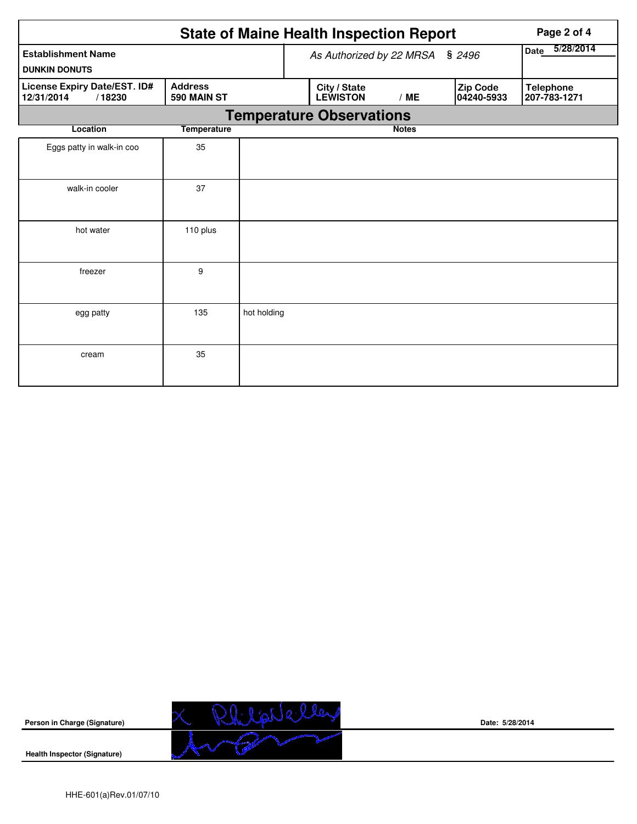|                                                                                              | Page 2 of 4        |             |                                 |                          |                        |                                  |  |  |  |  |  |
|----------------------------------------------------------------------------------------------|--------------------|-------------|---------------------------------|--------------------------|------------------------|----------------------------------|--|--|--|--|--|
| <b>Establishment Name</b><br><b>DUNKIN DONUTS</b>                                            |                    |             | As Authorized by 22 MRSA § 2496 | 5/28/2014<br><b>Date</b> |                        |                                  |  |  |  |  |  |
| <b>Address</b><br><b>License Expiry Date/EST. ID#</b><br>12/31/2014<br>/18230<br>590 MAIN ST |                    |             | City / State<br><b>LEWISTON</b> | /ME                      | Zip Code<br>04240-5933 | <b>Telephone</b><br>207-783-1271 |  |  |  |  |  |
|                                                                                              |                    |             | <b>Temperature Observations</b> |                          |                        |                                  |  |  |  |  |  |
| Location                                                                                     | <b>Temperature</b> |             |                                 | <b>Notes</b>             |                        |                                  |  |  |  |  |  |
| Eggs patty in walk-in coo                                                                    | 35                 |             |                                 |                          |                        |                                  |  |  |  |  |  |
| walk-in cooler                                                                               | 37                 |             |                                 |                          |                        |                                  |  |  |  |  |  |
| hot water                                                                                    | 110 plus           |             |                                 |                          |                        |                                  |  |  |  |  |  |
| freezer                                                                                      | 9                  |             |                                 |                          |                        |                                  |  |  |  |  |  |
| egg patty                                                                                    | 135                | hot holding |                                 |                          |                        |                                  |  |  |  |  |  |
| cream                                                                                        | 35                 |             |                                 |                          |                        |                                  |  |  |  |  |  |



**Date: 5/28/2014**

**Health Inspector (Signature)**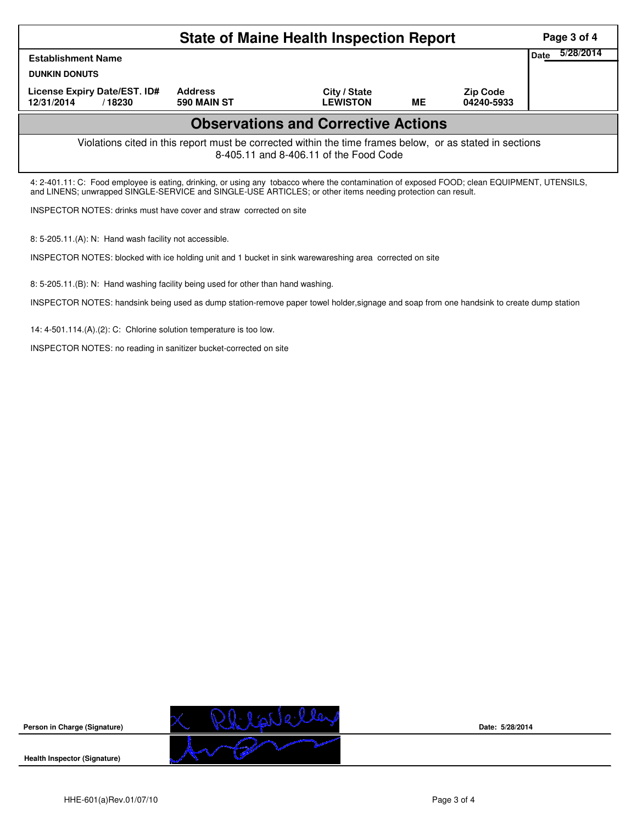|                                                                                                                                                                                                                                                            | Page 3 of 4                                                                                             |  |  |  |  |  |  |  |  |
|------------------------------------------------------------------------------------------------------------------------------------------------------------------------------------------------------------------------------------------------------------|---------------------------------------------------------------------------------------------------------|--|--|--|--|--|--|--|--|
| <b>Establishment Name</b>                                                                                                                                                                                                                                  | 5/28/2014<br>Date                                                                                       |  |  |  |  |  |  |  |  |
| <b>DUNKIN DONUTS</b>                                                                                                                                                                                                                                       |                                                                                                         |  |  |  |  |  |  |  |  |
| License Expiry Date/EST. ID#<br>12/31/2014<br>/18230                                                                                                                                                                                                       | <b>Address</b><br>City / State<br><b>Zip Code</b><br><b>LEWISTON</b><br>ME<br>590 MAIN ST<br>04240-5933 |  |  |  |  |  |  |  |  |
| <b>Observations and Corrective Actions</b>                                                                                                                                                                                                                 |                                                                                                         |  |  |  |  |  |  |  |  |
| Violations cited in this report must be corrected within the time frames below, or as stated in sections<br>8-405.11 and 8-406.11 of the Food Code                                                                                                         |                                                                                                         |  |  |  |  |  |  |  |  |
| 4: 2-401.11: C: Food employee is eating, drinking, or using any tobacco where the contamination of exposed FOOD; clean EQUIPMENT, UTENSILS,<br>and LINENS; unwrapped SINGLE-SERVICE and SINGLE-USE ARTICLES; or other items needing protection can result. |                                                                                                         |  |  |  |  |  |  |  |  |
| INSPECTOR NOTES: drinks must have cover and straw corrected on site                                                                                                                                                                                        |                                                                                                         |  |  |  |  |  |  |  |  |
| 8: 5-205.11.(A): N: Hand wash facility not accessible.                                                                                                                                                                                                     |                                                                                                         |  |  |  |  |  |  |  |  |

INSPECTOR NOTES: blocked with ice holding unit and 1 bucket in sink warewareshing area corrected on site

8: 5-205.11.(B): N: Hand washing facility being used for other than hand washing.

INSPECTOR NOTES: handsink being used as dump station-remove paper towel holder,signage and soap from one handsink to create dump station

14: 4-501.114.(A).(2): C: Chlorine solution temperature is too low.

INSPECTOR NOTES: no reading in sanitizer bucket-corrected on site



**Date: 5/28/2014**